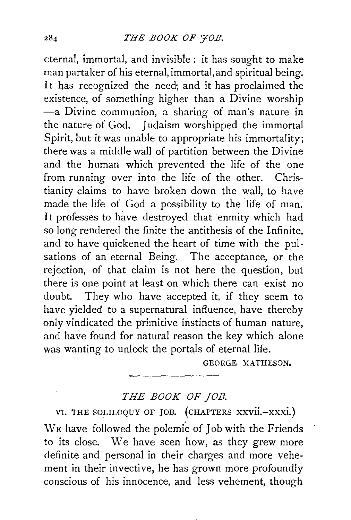eternal, immortal, and invisible : it has sought to make man partaker of his eternal, immortal, and spiritual being. It has recognized the need; and it has proclaimed the existence, of something higher than a Divine worship -a Divine communion, a sharing of man's nature in the nature of God. Judaism worshipped the immortal Spirit, but it was unable to appropriate his immortality; there was a middle wall of partition between the Divine and the human which prevented the life of the one from running over into the life of the other. Christianity claims to have broken down the wall, to have made the life of God a possibility to the life of man. It professes to have destroyed that enmity which had so long rendered the finite the antithesis of the Infinite, and to have quickened the heart of time with the pulsations of an eternal Being. The acceptance, or the rejection, of that claim is not here the question, but there is one point at least on which there can exist no doubt. They who have accepted it, if they seem to have yielded to a supernatural influence, have thereby only vindicated the primitive instincts of human nature, and have found for natural reason the key which alone was wanting to unlock the portals of eternal life.

GEORGE MATHESON.

## *THE BOOK OF JOB.*

VI. THE SOLILOQUY OF JOB. (CHAPTERS xxvii.-xxxi.) WE have followed the polemic of Job with the Friends to its close. We have seen how, as they grew more definite and personal in their charges and more vehement in their invective, he has grown more profoundly conscious of his innocence, and less vehement, though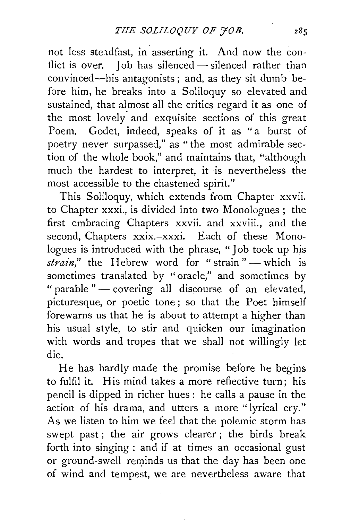not less stendfast, in asserting it. And now the conflict is over. Job has silenced - silenced rather than convinced-his antagonists; and, as they sit dumb before him, he breaks into a Soliloquy so elevated and sustained, that almost all the critics regard it as one of the most lovely- and exquisite sections of this great Poem. Godet, indeed, speaks of it as "a burst of poetry never surpassed," as " the most admirable section of the whole book," and maintains that, "although much the hardest to interpret, it is nevertheless the most accessible to the chastened spirit."

This Soliloquy, which extends from Chapter xxvii. to Chapter xxxi., is divided into two Monologues; the first embracing Chapters xxvii. and xxviii., and the second, Chapters xxix.-xxxi. Each of these Monologues is introduced with the phrase, "Job took up his *strain*," the Hebrew word for "strain" — which is sometimes translated by "oracle," and sometimes by " parable " - covering all discourse of an elevated, picturesque, or poetic tone ; so that the Poet himself forewarns us that he is about to attempt a higher than his usual style, to stir and quicken our imagination with words and tropes that we shall not willingly let die.

He has hardly made the promise before he begins to fulfil it. His mind takes a more reflective turn; his pencil is dipped in richer hues: he calls a pause in the action of his drama, and utters a more "lyrical cry." As we listen to him we feel that the polemic storm has swept past; the air grows clearer; the birds break forth into singing: and if at times an occasional gust or ground-swell reminds us that the day has been one of wind and tempest, we are nevertheless aware that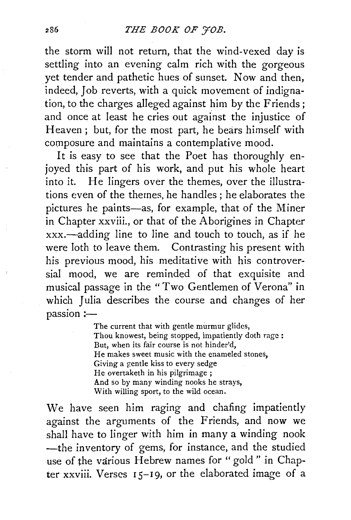the storm will not return, that the wind-vexed day is settling into an evening calm rich with the gorgeous yet tender and pathetic hues of sunset. Now and then, indeed, Job reverts, with a quick movement of indignation, to the charges alleged against him by the Friends; and once at least he cries out against the injustice of Heaven ; but, for the most part, he bears himself with composure and maintains a contemplative mood.

It is easy to see that the Poet has thoroughly enjoyed this part of his work, and put his whole heart into it. He lingers over the themes, over the illustrations even of the themes, he handles ; he elaborates the pictures he paints-as, for example, that of the Miner in Chapter xxviii., or that of the Aborigines in Chapter  $xxx$ —adding line to line and touch to touch, as if he were loth to leave them. Contrasting his present with his previous mood, his meditative with his controversial mood, we are reminded of that exquisite and musical passage in the "Two Gentlemen of Verona" in which Julia describes the course and changes of her passion:-

> The current that with gentle murmur glides, Thou knowest, being stopped, impatiently doth rage : But, when its fair course is not hinder'd, He makes sweet music with the enameled stones, Giving a gentle kiss to every sedge He overtaketh in his pilgrimage; And so by many winding nooks he strays, With willing sport, to the wild ocean.

We have seen him raging and chafing impatiently against the arguments of the Friends, and now we shall have to linger with him in many a winding nook -the inventory of gems, for instance, and the studied use of the various Hebrew names for "gold " in Chapter xxviii. Verses 15-19, or the elaborated image of a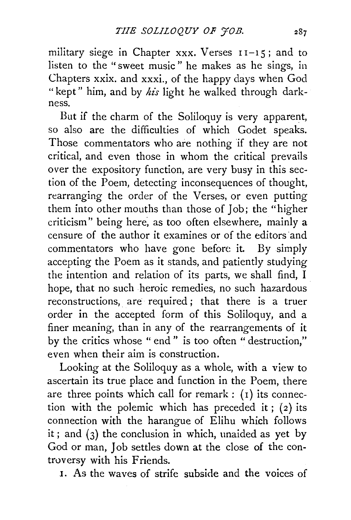military siege in Chapter  $xxx$ . Verses  $11-15$ ; and to listen to the " sweet music " he makes as he sings, in Chapters xxix. and xxxi., of the happy days when God "kept" him, and by his light he walked through darkness.

But if the charm of the Soliloquy is very apparent, so also are the difficulties of which Godet speaks. Those commentators who are nothing if they are not critical, and even those in whom the critical prevails over the expository function, are very busy in this section of the Poem, detecting inconsequences of thought, rearranging the order of the Verses, or even putting them into other mouths than those of Job; the "higher criticism" being here, as too often elsewhere, mainly a censure of the author it examines or of the editors and commentators who have gone before it. By simply accepting the Poem as it stands, and patiently studying the intention and relation of its parts, we shall find, I hope, that no such heroic remedies, no such hazardous reconstructions, are required ; that there is a truer order in the accepted form of this Soliloquy, and a finer meaning, than in any of the rearrangements of it by the critics whose " end" is too often "destruction," even when their aim is construction.

Looking at the Soliloquy as a whole, with a view to ascertain its true place and function in the Poem, there are three points which call for remark :  $(i)$  its connection with the polemic which has preceded it;  $(2)$  its connection with the harangue of Elihu which follows it; and  $(3)$  the conclusion in which, unaided as yet by God or man, Job settles down at the close of the controversy with his Friends.

1. As the waves of strife subside and the voices of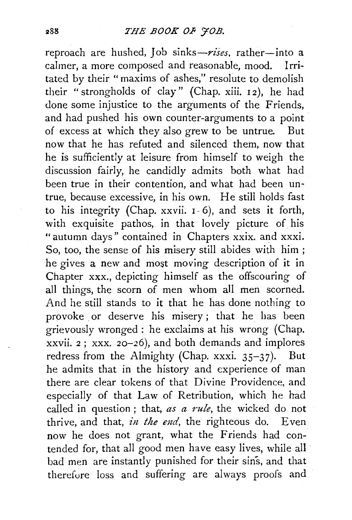reproach are hushed, Job sinks-rises, rather-into a calmer, a more composed and reasonable, mood. Irritated by their "maxims of ashes," resolute to demolish their " strongholds of clay" (Chap. xiii. 12), he had done some injustice to the arguments of the Friends, and had pushed his own counter-arguments to a point of excess at which they also grew to be untrue. But now that he has refuted and silenced them, now that he is sufficiently at leisure from himself to weigh the discussion fairly, he candidly admits both what had been true in their contention, and what had been untrue, because excessive, in his own. He still holds fast to his integrity (Chap. xxvii. I- 6), and sets it forth, with exquisite pathos, in that lovely picture of his " autumn days" contained in Chapters xxix. and xxxi. So, too, the sense of his misery still abides with him ; he gives a new and most moving description of it in Chapter xxx., depicting himself as the offscouring of all things, the scorn of men whom all men scorned. And he still stands to it that he has done nothing to provoke or deserve his misery ; that he has been grievously wronged: he exclaims at his wrong (Chap. xxvii. *2* ; xxx. 20-26), and both demands and implores redress from the Almighty (Chap. xxxi.  $35-37$ ). But he admits that in the history and experience of man there are clear tokens of that Divine Providence, and especially of that Law of Retribution, which he had called in question ; that, *as a rule,* the wicked do not thrive, and that, *in the end*, the righteous do. Even now he does not grant, what the Friends had contended for, that all good men have easy lives, while all bad men are instantly punished for their sins, and that therefore loss and suffering are always proofs and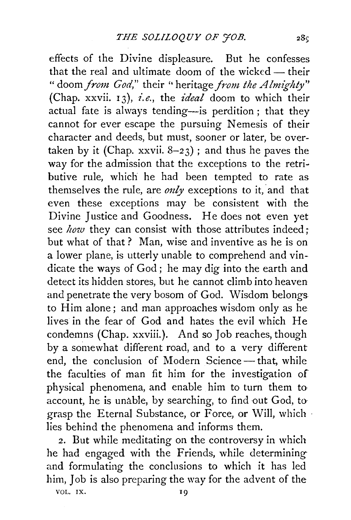effects of the Divine displeasure. But he confesses that the real and ultimate doom of the wicked  $-$  their " doom *from God*," their " heritage *from the Almighty*" (Chap. xxvii. 13), *i.e.,* the *£deal* doom to which their actual fate is always tending-is perdition; that they cannot for ever escape the pursuing Nemesis of their character and deeds, but must, sooner or later, be overtaken by it (Chap. xxvii.  $8-23$ ); and thus he paves the way for the admission that the exceptions to the retributive rule, which he had been tempted to rate as themselves the rule, are *only* exceptions to it, and that even these exceptions may be consistent with the Divine Justice and Goodness. He does not even yet see *how* they can consist with those attributes indeed; but what of that? Man, wise and inventive as he is on a lower plane, is utterly unable to comprehend and vindicate the ways of God; he may dig into the earth and detect its hidden stores, but he cannot climb into heaven and penetrate the very bosom of God. Wisdom belongs to Him alone; and man approaches wisdom only as he lives in the fear of God and hates the evil which He condemns (Chap. xxviii.). And so Job reaches, though by a somewhat different road, and to a very different end, the conclusion of Modern Science- that, while the faculties of man fit him for the investigation of physical phenomena, and enable him to turn them to· account, he is unable, by searching, to find out God, to grasp the Eternal Substance, or Force, or Will, which · lies behind the phenomena and informs them.

2. But while meditating on the controversy in which he had engaged with the Friends, while determining and formulating the conclusions to which it has led him, Job is also preparing the way for the advent of the

VOL. IX.

 $28c$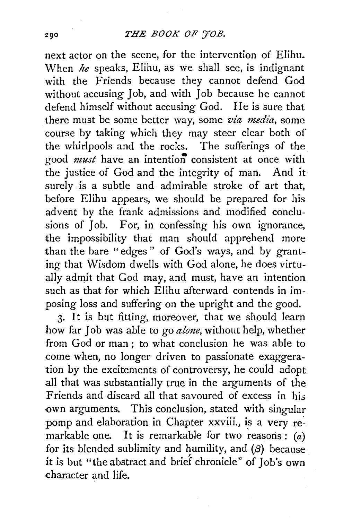### THE BOOK OF 70B.

next actor on the scene, for the intervention of Elihu. When *he* speaks, Elihu, as we shall see, is indignant with the Friends because they cannot defend God without accusing Job, and with Job because he cannot defend himself without accusing God. He is sure that there must be some better way, some *via media*, some course by taking which they may steer clear both of the whirlpools and the rocks. The sufferings of the good *must* have an intention consistent at once with the justice of God and the integrity of man. And it surely is a subtle and admirable stroke of art that, before Elihu appears, we should be prepared for his advent by the frank admissions and modified conclusions of Job. For, in confessing his own ignorance, the impossibility that man should apprehend more than the bare "edges" of God's ways, and by granting that Wisdom dwells with God alone, he does virtually admit that God may, and must, have an intention such as that for which Elihu afterward contends in imposing loss and suffering on the upright and the good.

3· It is but fitting, moreover, that we should learn how far Job was able to go *alone,* without help, whether from God or man; to what conclusion he was able to .come when, no longer driven to passionate exaggeration by the excitements of controversy, he could adopt .all that was substantially true in the arguments of the Friends and discard all that savoured of excess in his own arguments. This conclusion, stated with singular pomp and elaboration in Chapter xxviii., is a very remarkable one. It is remarkable for two reasons:  $(a)$ for its blended sublimity and humility, and  $(\beta)$  because it is but "the abstract and brief chronicle" of Job's own character and life.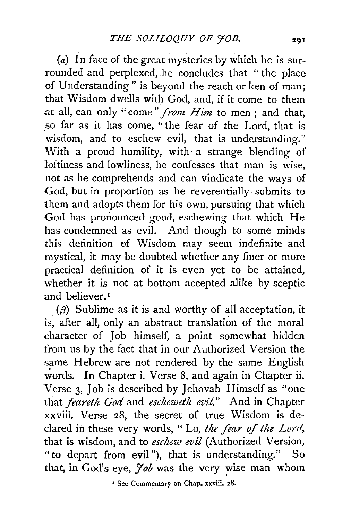(a) In face of the great mysteries by which he is surrounded and perplexed, he concludes that " the place of Understanding" is beyond the reach or ken of man; that Wisdom dwells with God, and, if it come to them at all, can only "come" *from Him* to men ; and that, so far as it has come, "the fear of the Lord, that is wisdom, and to eschew evil, that is' understanding." With a proud humility, with a strange blending of loftiness and lowliness, he confesses that man is wise, not as he comprehends and can vindicate the ways of God, but in proportion as he reverentially submits to them and adopts them for his own, pursuing that which God has pronounced good, eschewing that which He has condemned as evil. And though to some minds this definition of Wisdom may seem indefinite and mystical, it may be doubted whether any finer or more practical definition of it is even yet to be attained, whether it is not at bottom accepted alike by sceptic and believer.<sup>1</sup>

 $(\beta)$  Sublime as it is and worthy of all acceptation, it is, after all, only an abstract translation of the moral character of Job himself, a point somewhat hidden from us by the fact that in our Authorized Version the same Hebrew are not rendered by the same English words. In Chapter i. Verse 8, and again in Chapter ii. Verse 3, Job is described by Jehovah Himself as "one that *feareth God* and *escheweth evil."* And in Chapter xxviii. Verse 28, the secret of true Wisdom is declared in these very words, "Lo, the fear of the Lord, that is wisdom, and to *eschew evil* (Authorized Version, "to depart from evil"), that is understanding." So that, in God's eye, *Yob* was the very wise man whom

eye, *Juu* was the very wise<br><sup>2</sup> See Commentary on Chap. xxviii. 28.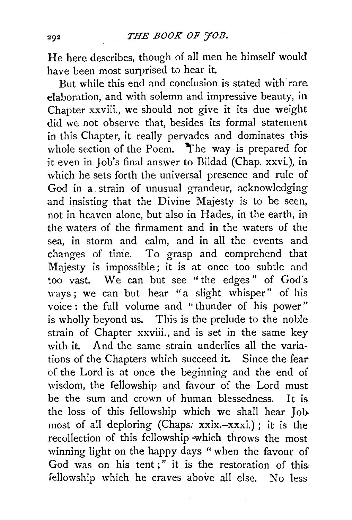He here describes, though of all men he himself would have been most surprised to hear it.

But while this end and conclusion is stated with rare elaboration, and with solemn and impressive beauty, in Chapter xxviii., we should not give it its due weight did we not observe that, besides its formal statement in this Chapter, it really pervades and dominates this whole section of the Poem. The way is prepared for it even in Job's final answer to Bildad (Chap. xxvi.), in which he sets forth the universal presence and rule of God in a. strain of unusual grandeur, acknowledging and insisting that the Divine Majesty is to be seen. not in heaven alone, but also in Hades, in the earth, in the waters of the firmament and in the waters of the sea, in storm and calm, and in all the events and changes of time. To grasp and comprehend that Majesty is impossible; it is at once too subtle and too vast. We can but see "the edges" of God's ways ; we can but hear "a slight whisper" of his voice : the full volume and "thunder of his power" is wholly beyond us. This is the prelude to the noble strain of Chapter xxviii., and is set in the same key with it. And the same strain underlies all the variations of the Chapters which succeed it. Since the fear of the Lord is at once the beginning and the end of wisdom, the fellowship and favour of the Lord must be the sum and crown of human blessedness. It is the loss of this fellowship which we shall hear Job most of all deploring (Chaps: xxix.-xxxi.) ; it is the recollection of this fellowship -which throws the most winning light on the happy days " when the favour of God was on his tent;" it is the restoration of this fellowship which he craves above all else. No less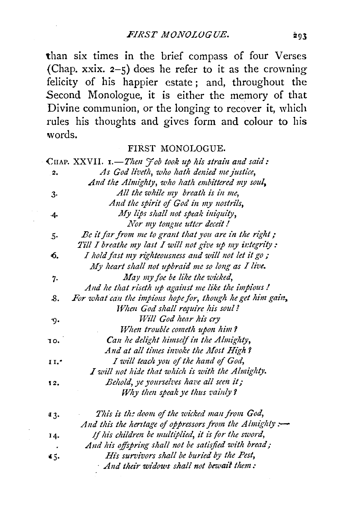than six times in the brief compass of four Verses (Chap. xxix.  $2-5$ ) does he refer to it as the crowning felicity of his happier estate ; and, throughout the Second Monologue, it is either the memory of that Divine communion, or the longing to recover it, which rules his thoughts and gives form and colour to his words.

#### FIRST MONOLOGUE.

|       | CHAP. XXVII. 1.-Then Job took up his strain and said:      |
|-------|------------------------------------------------------------|
| 2.    | As God liveth, who hath denied me justice,                 |
|       | And the Almighty, who hath embittered my soul,             |
| 3.    | All the while my breath is in me,                          |
|       | And the spirit of God in my nostrils,                      |
| .4.   | My lips shall not speak iniquity,                          |
|       | Nor my tongue utter deceit!                                |
| 5٠    | Be it far from me to grant that you are in the right;      |
|       | Till I breathe my last I will not give up my integrity:    |
| 6.    | I hold fast my righteousness and will not let it go;       |
|       | My heart shall not upbraid me so long as I live.           |
| 7.    | May my foe be like the wicked,                             |
|       | And he that riseth up against me like the impious!         |
| 8.    | For what can the impions hope for, though he get him gain, |
|       | When God shall require his soul?                           |
| ю.    | Will God hear his cry                                      |
|       | When trouble cometh upon him?                              |
| 10.   | Can he delight himself in the Almighty,                    |
|       | And at all times invoke the Most High?                     |
| 1 I.- | I will teach you of the hand of God,                       |
|       | I will not hide that which is with the Almighty.           |
| 12.   | Behold, ye yourselves have all seen it;                    |
|       | Why then speak ye thus vainly?                             |
| 43.   | This is the doom of the wicked man from God,               |
|       | And this the heritage of oppressors from the Almighty :-   |
| 14.   | If his children be multiplied, it is for the sword,        |
|       | And his offspring shall not be satisfied with bread;       |
| 45.   | His survivors shall be buried by the Pest,                 |
|       | And their widows shall not bewait them:                    |
|       |                                                            |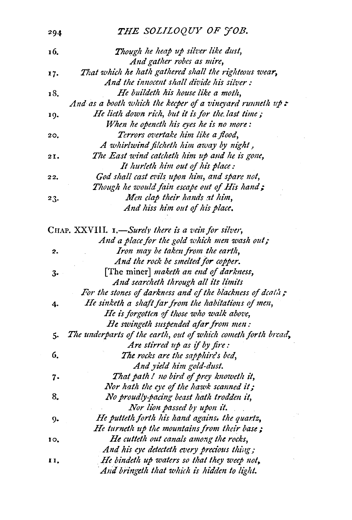| 294 | THE SOLILOQUY OF JOB. |  |
|-----|-----------------------|--|
|     |                       |  |

| 16. | Though he heap up silver like dust,                           |
|-----|---------------------------------------------------------------|
|     | And gather robes as mire,                                     |
| 17. | That which he hath gathered shall the righteous wear,         |
|     | And the innocent shall divide his silver :                    |
| 18. | He buildeth his house like a moth,                            |
|     | And as a booth which the keeper of a vineyard runneth up :    |
| 19. | He lieth down rich, but it is for the last time;              |
|     | When he openeth his eyes he is no more:                       |
| 20, | Terrors overtake him like a flood,                            |
|     | A whirlwind filcheth him away by night,                       |
| 2I. | The East wind catcheth him up and he is gone,                 |
|     | It hurleth him out of his place:                              |
| 22. | God shall cast evils upon him, and spare not,                 |
|     | Though he would fain escape out of His hand;                  |
| 23. | Men clap their hands at him,                                  |
|     | And hiss him out of his place.                                |
|     | CHAP. XXVIII. 1.-Surely there is a vein for silver,           |
|     | And a place for the gold which men wash out;                  |
| 2.  | Iron may be taken from the earth,                             |
|     | And the rock be smelted for copper.                           |
| з.  | [The miner] maketh an end of darkness,                        |
|     | And searcheth through all its limits                          |
|     | For the stones of darkness and of the blackness of death;     |
| 4.  | He sinketh a shaft far from the habitations of men,           |
|     | He is forgotten of those who walk above,                      |
|     | He swingeth suspended afar from men:                          |
| 5.  | The underparts of the earth, out of which cometh forth bread, |
|     | Are stirred up as if by fire:                                 |
| 6.  | The rocks are the sapphire's bed,                             |
|     | And yield him gold-dust.                                      |
|     | That path! no bird of prey knoweth it,                        |
| 7.  | Nor hath the eye of the hawk scanned it;                      |
| 8.  | No proudly-pacing beast hath trodden it,                      |
|     | Nor lion passed by upon it.                                   |
|     | He putteth forth his hand agains, the quartz,                 |
| 9.  | He turneth up the mountains from their base;                  |
|     |                                                               |
| 10, | He cutteth out canals among the rocks,                        |
|     | And his eye detecteth every precious thing;                   |
| 11. | He bindeth up waters so that they weep not,                   |
|     | And bringeth that which is hidden to light.                   |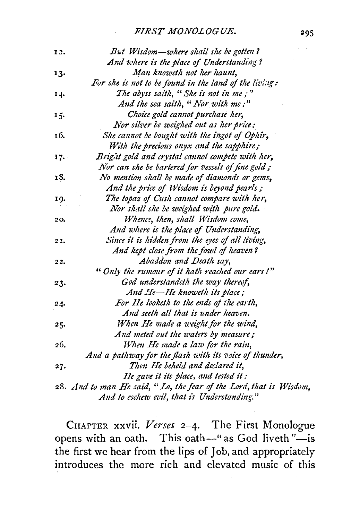| 13. | But Wisdom—where shall she be gotten?                              |  |
|-----|--------------------------------------------------------------------|--|
|     | And where is the place of Understanding?                           |  |
| 13. | Man knoweth not her haunt,                                         |  |
|     | For she is not to be found in the land of the living:              |  |
| 14. | The abyss saith, "She is not in me;"                               |  |
|     | And the sea saith, " Nor with me:"                                 |  |
| 15. | Choice gold cannot purchase her,                                   |  |
|     | Nor silver be weighed out as her price:                            |  |
| 16. | She cannot be bought with the ingot of Ophir,                      |  |
|     | With the precious onyx and the sapphire;                           |  |
| 17. | Bright gold and crystal cannot compete with her,                   |  |
|     | Nor can she be bartered for vessels of fine gold;                  |  |
| 18. | No mention shall be made of diamonds or gems,                      |  |
|     | And the price of Wisdom is beyond pearls;                          |  |
| 19. | The topaz of Cush cannot compare with her,                         |  |
|     | Nor shall she be weighed with pure gold.                           |  |
| 20. | Whence, then, shall Wisdom come,                                   |  |
|     | And where is the place of Understanding,                           |  |
| 21. | Since it is hidden from the eyes of all living,                    |  |
|     | And kept close from the fowl of heaven?                            |  |
| 22. | Abaddon and Death say,                                             |  |
|     | "Only the rumour of it hath reached our ears!"                     |  |
| 23. | God understandeth the way thereof,                                 |  |
|     | And He-He knoweth its place;                                       |  |
| 24. | For He looketh to the ends of the earth,                           |  |
|     | And seeth all that is under heaven.                                |  |
| 25. | When He made a weight for the wind,                                |  |
|     | And meted out the waters by measure;                               |  |
| 26. | When He made a law for the rain,                                   |  |
|     | And a pathway for the flash with its voice of thunder,             |  |
| 27. | Then He beheld and declared it,                                    |  |
|     | He gave it its place, and tested it:                               |  |
|     | 28. And to man He said, "Lo, the fear of the Lord, that is Wisdom, |  |
|     | And to eschew evil, that is Understanding."                        |  |

CHArTER xxvii. *Verses* 2-4. The First Monologue opens with an oath. This oath-" as God liveth"-is the first we hear from the lips of Job, and appropriately introduces the more rich and elevated music of this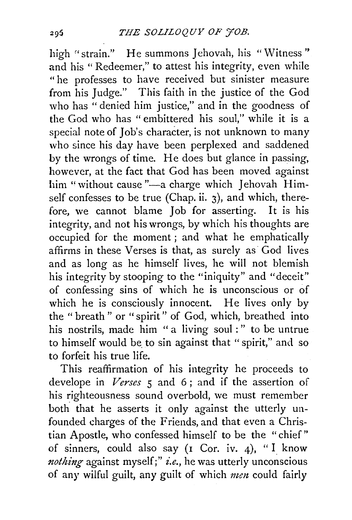high "strain." He summons Jehovah, his "Witness" and his "Redeemer," to attest his integrity, even while "he professes to have received but sinister measure from his Judge." This faith in the justice of the God who has "denied him justice," and in the goodness of the God who has " embittered his soul," while it is a special note of Job's character, is not unknown to many who since his day have been perplexed and saddened by the wrongs of time. He does but glance in passing, however, at the fact that God has been moved against him "without cause "-a charge which Jehovah Himself confesses to be true (Chap. ii. 3), and which, therefore, we cannot blame Job for asserting. It is his integrity, and not his wrongs, by which his thoughts are occupied for the moment; and what he emphatically affirms in these Verses is that, as surely as God lives and as long as he himself lives, he will not blemish his integrity by stooping to the "iniquity" and "deceit" of confessing sins of which he is unconscious or of which he is consciously innocent. He lives only by the " breath " or "spirit" of God, which, breathed into his nostrils, made him " a living soul : " to be untrue to himself would be to sin against that "spirit," and so to forfeit his true life.

This reaffirmation of his integrity he proceeds to develope in *Verses* 5 and 6 ; and if the assertion of his righteousness sound overbold, we must remember both that he asserts it only against the utterly unfounded charges of the Friends, and that even a Christian Apostle, who confessed himself to be the "chief" of sinners, could also say  $(I \nightharpoonup Cor.$  iv. 4), "I know *nothing* against myself;" *i.e.,* he was utterly unconscious of any wilful guilt, any guilt of which men could fairly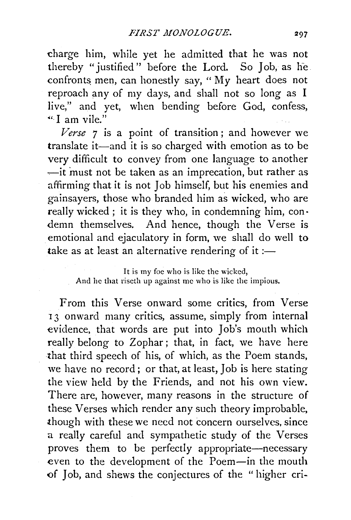charge him, while yet he admitted that he was not thereby "justified'' before the Lord. So Job, as he confronts men, can honestly say, "  $My$  heart does not reproach any of my days, and shall not so long as I live," and yet, when bending before God, confess, "' I am vile."

*Verse* 7 is a point of transition ; and however we translate it—and it is so charged with emotion as to be very difficult to convey from one language to another  $\frac{1}{x}$  it must not be taken as an imprecation, but rather as affirming that it is not Job himself, but his enemies and gainsayers, those who branded him as wicked, who are really wicked; it is they who, in condemning him, con· demn themselves. And hence, though the Verse is emotional and ejaculatory in form, we shall do well to take as at least an alternative rendering of it: $-$ 

From this Verse onward some critics, from Verse 13 onward many critics, assume, simply from internal evidence, that words are put into Job's mouth which really belong to Zophar; that, in fact, we have here that third speech of his, of which, as the Poem stands, we have no record; or that, at least, Job is here stating the view held by the Friends, and not his own view. There are, however, many reasons in the structure of these Verses which render any such theory improbable, though with these we need not concern ourselves, since a really careful and sympathetic study of the Verses proves them to be perfectly appropriate-necessary even to the development of the Poem-in the mouth of Job, and shews the conjectures of the " higher cri-

It is my foe who is like the wicked, And he that riseth up against me who is like the impious.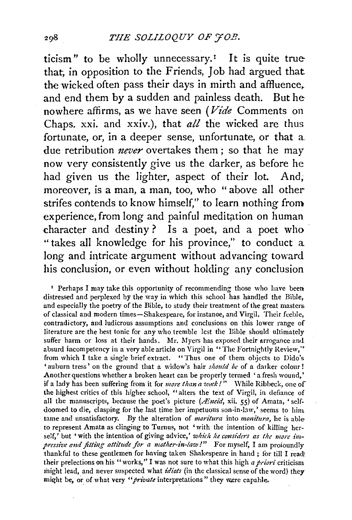ticism" to be wholly unnecessary.<sup> $I$ </sup> It is quite true that; in opposition to the Friends, Job had argued that the wicked often pass their days in mirth and affluence, and end them by a sudden and painless death. But he nowhere affirms, as we have seen (*Vide* Comments on Chaps. xxi. and xxiv.), that *all* the wicked are thus fortunate, or, in a deeper sense, unfortunate, or that a due retribution *never* overtakes them; so that he may now very consistently give us the darker, as before he had given us the lighter, aspect of their lot. And, moreover, is a man, a man, too, who "above all other strifes contends to know himself," to learn nothing from experience, from long and painful meditation on human character and destiny? Is a poet, and a poet who "takes all knowledge for his province," to conduct a long and intricate argument without advancing toward his conclusion, or even without holding any conclusion

' Perhaps I may take this opportunity of recommending those who have been distressed and perplexed by the way in which this school has handled the Bible, and especially the poetry of the Bible, to study their treatment of the great masters. of classical and modern times-Shakespeare, for instanoe, and Virgil. Their feeble, contradictory, and ludicrous assumptions and conclusions on this lower range of literature are the best tonic for any who tremble lest the Bible should ultimately suffer harm or loss at their hands. Mr. Myers has exposed their arrogance and absurd incompetency in a very able article on Virgil in "The Fortnightly Review,'' from which I take a single brief extract. "Thus one of them objects to Dido's 'auburn tress' on the ground that a widow's hair *should be* of a darker colour! Another questions whether a broken heart can be properly termed 'a fresh wound,' if a lady has been suffering from it for *more than a week!*" While Ribbeck, one of the highest critics of this higher school, "alters the text of Virgil, in defiance of all the manuscripts, because the poet's picture (*Atneid*, xii. 55) of Amata, 'selfdoomed to die, clasping for the last time her impetuous son-in-law,' seems to him. tame and unsatisfactory. By the alteration of *moritura* into *monitura,* he is ableto represent Amata as clinging to Turnus, not 'with the intention of killing herself,' but 'with the intention of giving advice,' *which he considers as the more impressive and fitting attitude for a mother-in-law!"* For myself, I am proloundly thankful to these gentlemen for having taken Shakespeare in hand ; ior till I read' their prelections on his "works," I was not sure to what this high *a priori* criticism inight lead, and never suspected what *idiots* (in the classical sense of the word) they might be, or of what very "*private* interpretations" they were capable.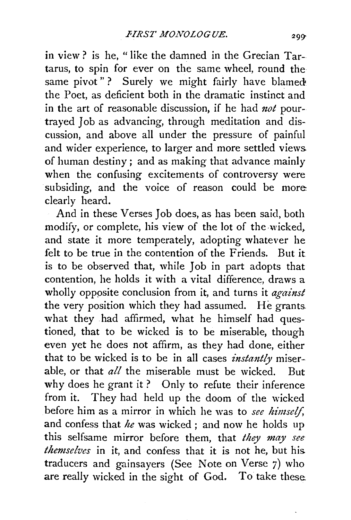in view? is he, "like the damned in the Grecian Tartarus, to spin for ever on the same wheel, round the same pivot"? Surely we might fairly have blamed the Poet, as deficient both in the dramatic instinct and in the art of reasonable discussion, if he had *not* pourtrayed Job as advancing, through meditation and discussion, and above all under the pressure of painful and wider experience, to larger and more settled views. of human destiny; and as making that advance mainly when the confusing excitements of controversy were subsiding, and the voice of reason could be more clearly heard.

And in these Verses Job does, as has been said, both modify, or complete, his view of the lot of the wicked. and state it more temperately, adopting whatever he felt to be true in the contention of the Friends. But it is to be observed that, while Job in part adopts that contention, he holds it with a vital difference, draws a wholly opposite conclusion from it, and turns it *against* the very position which they had assumed. He grants what they had affirmed, what he himself had questioned, that to be wicked is to be miserable, though even yet he does not affirm, as they had done, either that to be wicked is to be in all cases *instantly* miserable, or that *all* the miserable must be wicked. But why does he grant it? Only to refute their inference from it. They had held up the doom of the wicked before him as a mirror in which he was to *see himself,*  and confess that *he* was wicked ; and now he holds up this selfsame mirror before them, that *they may see themselves* in it, and confess that it is not he, but his. traducers and gainsayers (See Note on Verse 7) who are really wicked in the sight of God. To take these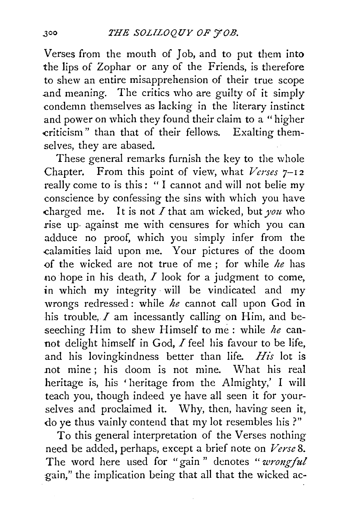Verses from the mouth of Job, and to put them into the lips of Zophar or any of the Friends, is therefore to shew an entire misapprehension of their true scope and meaning. The critics who are guilty of it simply condemn themselves as lacking in the literary instinct and power on which they found their claim to a "higher criticism" than that of their fellows. Exalting themselves, they are abased.

These general remarks furnish the key to the whole Chapter. From this point of view, what *Verses* 7-12 really come to is this: "I cannot and will not belie my conscience by confessing the sins with which you have .charged me. It is not *I* that am wicked, but *you* who rise up· against me with censures for which you can adduce no proof, which you simply infer from the .calamities laid upon me. Your pictures of the doom <>f the wicked are not true of me ; for while *he* has no hope in his death,  $I$  look for a judgment to come, in which my integrity will be vindicated and my wrongs redressed : while *he* cannot call upon God in his trouble,  $I$  am incessantly calling on Him, and beseeching Him to shew Himself to me: while *he* cannot delight himself in God, I feel his favour to be life, and his lovingkindness better than life. *His* lot is not mine ; his doom is not mine. What his real heritage is, his ' heritage from the Almighty,' I will teach you, though indeed ye have all seen it for yourselves and proclaimed it. Why, then, having seen it, do ye thus vainly contend that my lot resembles his ?"

To this general interpretation of the Verses nothing need be added, perhaps, except a brief note on *Verse* 8. The word here used for "gain" denotes "wrongful gain," the implication being that all that the wicked ac-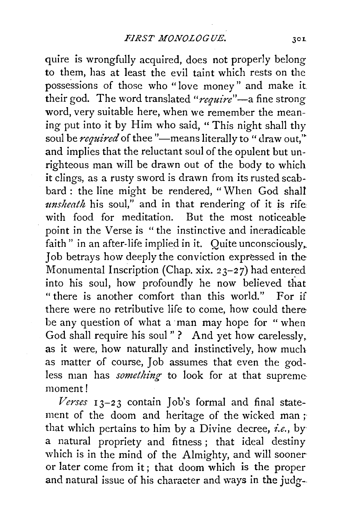quire is wrongfully acquired, does not properly belong to them, has at least the evil taint which rests on the possessions of those who "love money" and make it their god. The word translated *"require"-a* fine strong word, very suitable here, when we remember the meaning put into it by Him who said, "This night shall thy soul be *required* of thee "-means literally to "draw out," and implies that the reluctant soul of the opulent but unrighteous man will be drawn out of the body to which it clings, as a rusty sword is drawn from its rusted scabbard : the line might be rendered, "When God shall *unsheath* his soul," and in that rendering of it is rife with food for meditation. But the most noticeable point in the Verse is " the instinctive and ineradicable faith" in an after-life implied in it. Quite unconsciously, Job betrays how deeply the conviction expressed in the Monumental Inscription (Chap. xix. 23-27) had entered into his soul, how profoundly he now believed that "there is another comfort than this world." For if there were no retributive life to come, how could there be any question of what a· man may hope for "when God shall require his soul"? And yet how carelessly, as it were, how naturally and instinctively, how much as matter of course, Job assumes that even the godless man has *something* to look for at that supreme moment!

*Verses* 13-23 contain Job's formal and final statement of the doom and heritage of the wicked man ; that which pertains to him by a Divine decree, *i.e.,* by a natural propriety and fitness; that ideal destiny which is in the mind of the Almighty, and will sooner or later come from it ; that doom which is the proper and natural issue of his character and ways in the judg--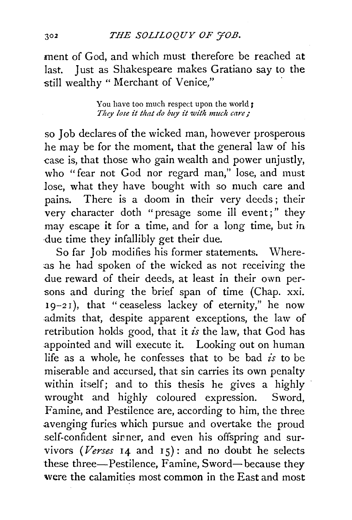## *THE SOLILOQUY OF 'JOB.*

ment of God, and which must therefore be reached at last. Just as Shakespeare makes Gratiano say to the still wealthy " Merchant of Venice,"

> You have too much respect upon the world ; *They lose it that do buy it with much care;*

so Job declares of the wicked man, however prosperous he may be for the moment, that the general law of his case is, that those who gain wealth and power unjustly, who "fear not God nor regard man," lose, and must lose, what they have bought with so much care and pains. There is a doom in their very deeds ; their very character doth "presage some ill event;" they may escape it for a time, and for a long time, but in ·due time they infallibly get their due.

So far Job modifies his former statements. Where-:as he had spoken of the wicked as not receiving the due reward of their deeds, at least in their own persons and during the brief span of time (Chap. xxi. 19-2 I), that "ceaseless lackey of eternity," he now admits that, despite apparent exceptions, the law of retribution holds good, that it *is* the law, that God has appointed and will execute it. Looking out on human life as a whole, he confesses that to be bad  $i<sub>s</sub>$  to be miserable and accursed, that sin carries its own penalty within itself; and to this thesis he gives a highly wrought and highly coloured expression. Sword, Famine, and Pestilence are, according to him, the three .avenging furies which pursue and overtake the proud .self-confident sirner, and even his offspring and survivors ( *and*  $15$ *): and no doubt he selects* these three-Pestilence, Famine, Sword-because they were the calamities most common in the East and most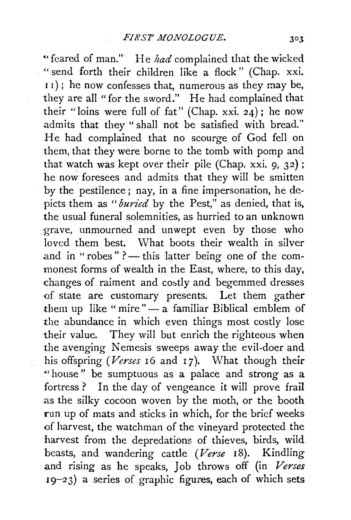"feared of man." He had complained that the wicked " send forth their children like a flock" (Chap. xxi.  $11$ ); he now confesses that, numerous as they may be, they are ail "for the sword." He had complained that their "loins were full of fat" (Chap. xxi. 24) ; he now admits that they " shall not be satisfied with bread." He had complained that no scourge of God fell on them, that they were borne to the tomb with pomp and that watch was kept over their pile (Chap. xxi.  $9, 32$ ); he now foresees and admits that they will be smitten by the pestilence; nay, in a fine impersonation, he depicts them as *"buried* by the Pest," as denied, that is, the usual funeral solemnities, as hurried to an unknown grave, unmourned and unwept even by those who loved them best. What boots their wealth in silver and in "robes" ? - this latter being one of the commonest forms of wealth in the East, where, to this day, changes of raiment and costly and begemmed dresses of state are customary presents. Let them gather them up like " mire" $-$  a familiar Biblical emblem of the abundance in which even things most costly lose their value. They will but enrich the righteous when the avenging Nemesis sweeps away the evil-doer and his offspring (Verses 16 and 17). What though their "house" be sumptuous as a palace and strong as a fortress ? In the day of vengeance it will prove frail as the silky cocoon woven by the moth, or the booth run up of mats and sticks in which, for the brief weeks of harvest, the watchman of the vineyard protected the harvest from the depredations of thieves, birds, wild beasts, and wandering cattle *(Verse* 18). Kindling and rising as he speaks, Job throws off (in *Verses*  19-23) a series of graphic figures, each of which sets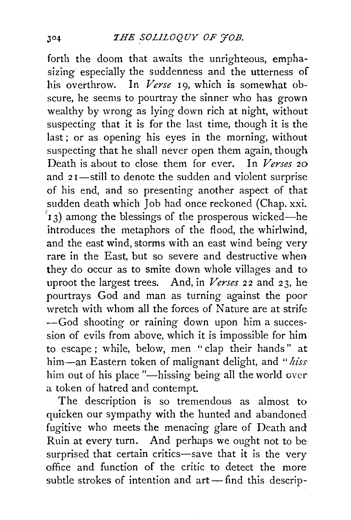forth the doom that awaits the unrighteous, emphasizing especially the suddenness and the utterness of his overthrow. In *Verse* 19, which is somewhat obscure, he seems to pourtray the sinner who has grown wealthy by wrong as lying down rich at night, without suspecting that it is for the last time, though it is the last ; or as opening his eyes in the morning, without suspecting that he shall never open them again, though Death is about to close them for ever. In *Verses* 20 and  $2I$ —still to denote the sudden and violent surprise of his end, and so presenting another aspect of that sudden death which Job had once reckoned (Chap. xxi.  $\mathbf{r}_1$  3) among the blessings of the prosperous wicked—he ihtroduces the metaphors of the flood, the whirlwind, and the east wind, storms with an east wind being very rare in the East, but so severe and destructive when they do occur as to smite down whole villages and to uproot the largest trees. And, in *Verses* 22 and 23, he pourtrays God and man as turning against the poor wretch with whom all the forces of Nature are at strife -God shooting or raining down upon him a succession of evils from above, which it is impossible for him to escape ; w bile, below, men " clap their hands" at him-an Eastern token of malignant delight, and *"hiss*  him out of his place "-hissing being all the world over a token of hatred and contempt.

The description is so tremendous as almost to quicken our sympathy with the hunted and abandoned fugitive who meets the menacing glare of Death and Ruin at every turn. And perhaps we ought not to be surprised that certain critics-save that it is the very office and function of the critic to detect the more subtle strokes of intention and  $art$ —find this descrip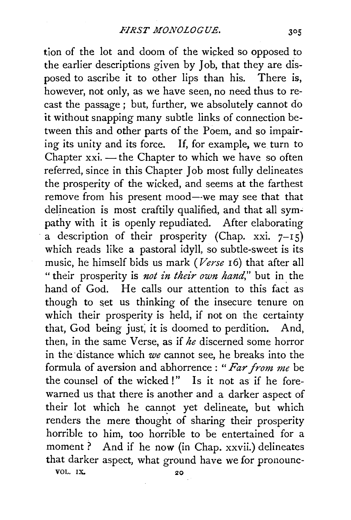tion of the lot and doom of the wicked so opposed to the earlier descriptions given by Job, that they are disposed to ascribe it to other lips than his. There is, however, not only, as we have seen, no need thus to recast the passage ; but, further, we absolutely cannot do it without snapping many subtle links of connection between this and other parts of the Poem, and so impairing its unity and its force. If, for example, we turn to Chapter  $xxi$ . — the Chapter to which we have so often referred, since in this Chapter Job most fully delineates the prosperity of the wicked, and seems at the farthest remove from his present mood—we may see that that delineation is most craftily qualified, and that all sympathy with it is openly repudiated. After elaborating a description of their prosperity (Chap. xxi.  $7-15$ ) which reads like a pastoral idyll, so subtle-sweet is its music, he himself bids us mark *(Verse* 16) that after all " their prosperity is *not in their own hand*," but in the hand of God. He calls our attention to this fact as though to set us thinking of the insecure tenure on which their prosperity is held, if not on the certainty that, God being just; it is doomed to perdition. And, then, in the same Verse, as if *he* discerned some horror in the distance which *we* cannot see, he breaks into the formula of aversion and abhorrence : *"Far from me* be the counsel of the wicked !" Is it not as if he forewarned us that there is another and a darker aspect of their lot which he cannot yet delineate, but which renders the mere thought of sharing their prosperity horrible to him, too horrible to be entertained for a moment? And if he now (in Chap. xxvii.) delineates that darker aspect, what ground have we for pronounc-VOL. IX.  $20$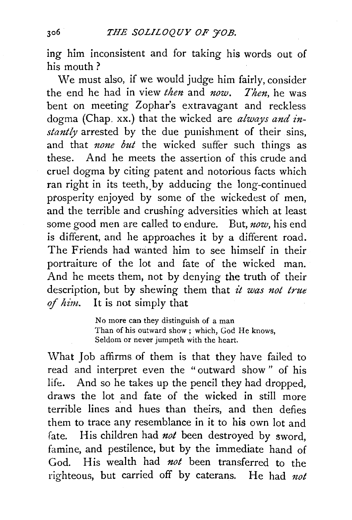ing him inconsistent and for taking his words out of his mouth?

We must also, if we would judge him fairly, consider the end he had in view *then* and *now. Then,* he was bent on meeting Zophar's extravagant and reckless dogma (Chap. xx.) that the wicked are *always and instantly* arrested by the due punishment of their sins, and that *none but* the wicked suffer such things as these. And he meets the assertion of this crude and cruel dogma by citing patent and notorious facts which ran right in its teeth, by adducing the long-continued ptosperity enjoyed by some of the wickedest of men, and the terrible and crushing adversities which at least some good men are called to endure. But, *now,* his end is different, and he approaches it by a different road. The Friends had wanted him to see himself in their portraiture of the lot and fate of the wicked man. And he meets them, not by denying the truth of their description, but by shewing them that *it was not true*  of *him..* It is not simply that

> No more can they distinguish of a man Than of his outward show ; which, God He knows, Seldom or never jumpeth with the heart.

What Job affirms of them is that they have failed to read and interpret even the " outward show " of his life. And so he takes up the pencil they had dropped, draws the lot and fate of the wicked in still more terrible lines and hues than theirs, and then defies them to trace any resemblance in it to his own lot and fate. His children had *not* been destroyed by sword, famine, and pestilence, but by the immediate hand of God. His wealth had *not* been transferred to the righteous, but carried off by caterans. He had not

306